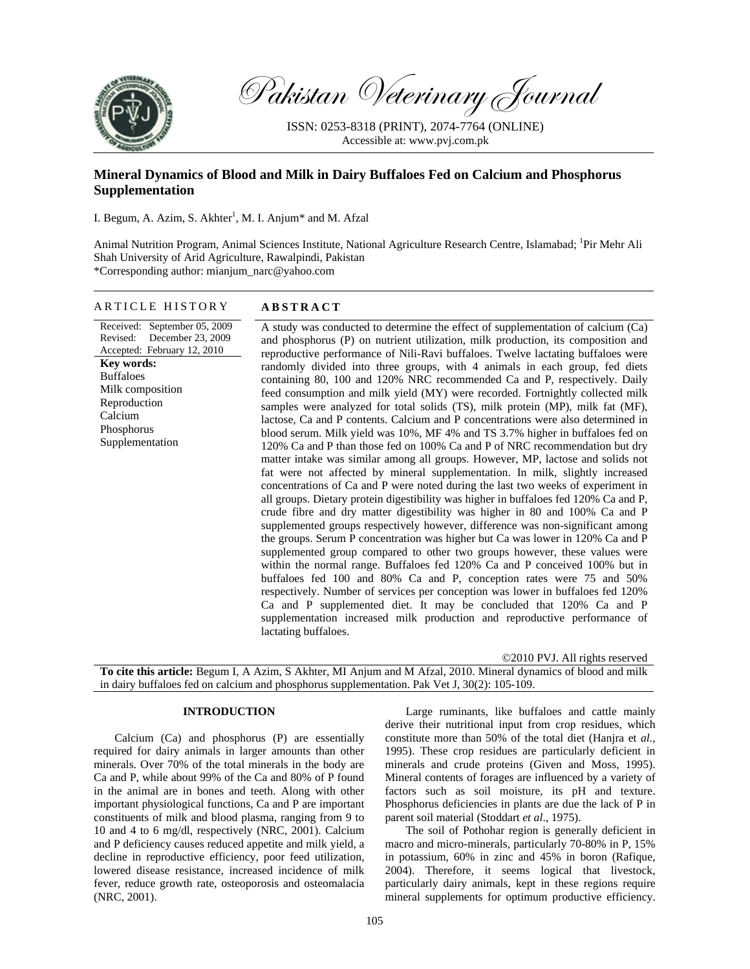

Pakistan Veterinary Journal

ISSN: 0253-8318 (PRINT), 2074-7764 (ONLINE) Accessible at: www.pvj.com.pk

# **Mineral Dynamics of Blood and Milk in Dairy Buffaloes Fed on Calcium and Phosphorus Supplementation**

I. Begum, A. Azim, S. Akhter<sup>1</sup>, M. I. Anjum\* and M. Afzal

Animal Nutrition Program, Animal Sciences Institute, National Agriculture Research Centre, Islamabad; <sup>1</sup>Pir Mehr Ali Shah University of Arid Agriculture, Rawalpindi, Pakistan \*Corresponding author: mianjum\_narc@yahoo.com

# ARTICLE HISTORY **ABSTRACT**

Received: September 05, 2009 Revised: December 23, 2009 Accepted: February 12, 2010 **Key words:**  Buffaloes Milk composition Reproduction Calcium Phosphorus Supplementation

A study was conducted to determine the effect of supplementation of calcium (Ca) and phosphorus (P) on nutrient utilization, milk production, its composition and reproductive performance of Nili-Ravi buffaloes. Twelve lactating buffaloes were randomly divided into three groups, with 4 animals in each group, fed diets containing 80, 100 and 120% NRC recommended Ca and P, respectively. Daily feed consumption and milk yield (MY) were recorded. Fortnightly collected milk samples were analyzed for total solids (TS), milk protein (MP), milk fat (MF), lactose, Ca and P contents. Calcium and P concentrations were also determined in blood serum. Milk yield was 10%, MF 4% and TS 3.7% higher in buffaloes fed on 120% Ca and P than those fed on 100% Ca and P of NRC recommendation but dry matter intake was similar among all groups. However, MP, lactose and solids not fat were not affected by mineral supplementation. In milk, slightly increased concentrations of Ca and P were noted during the last two weeks of experiment in all groups. Dietary protein digestibility was higher in buffaloes fed 120% Ca and P, crude fibre and dry matter digestibility was higher in 80 and 100% Ca and P supplemented groups respectively however, difference was non-significant among the groups. Serum P concentration was higher but Ca was lower in 120% Ca and P supplemented group compared to other two groups however, these values were within the normal range. Buffaloes fed 120% Ca and P conceived 100% but in buffaloes fed 100 and 80% Ca and P, conception rates were 75 and 50% respectively. Number of services per conception was lower in buffaloes fed 120% Ca and P supplemented diet. It may be concluded that 120% Ca and P supplementation increased milk production and reproductive performance of lactating buffaloes.

©2010 PVJ. All rights reserved **To cite this article:** Begum I, A Azim, S Akhter, MI Anjum and M Afzal, 2010. Mineral dynamics of blood and milk in dairy buffaloes fed on calcium and phosphorus supplementation. Pak Vet J, 30(2): 105-109.

## **INTRODUCTION**

Calcium (Ca) and phosphorus (P) are essentially required for dairy animals in larger amounts than other minerals. Over 70% of the total minerals in the body are Ca and P, while about 99% of the Ca and 80% of P found in the animal are in bones and teeth. Along with other important physiological functions, Ca and P are important constituents of milk and blood plasma, ranging from 9 to 10 and 4 to 6 mg/dl, respectively (NRC, 2001). Calcium and P deficiency causes reduced appetite and milk yield, a decline in reproductive efficiency, poor feed utilization, lowered disease resistance, increased incidence of milk fever, reduce growth rate, osteoporosis and osteomalacia (NRC, 2001).

Large ruminants, like buffaloes and cattle mainly derive their nutritional input from crop residues, which constitute more than 50% of the total diet (Hanjra et *al.,*  1995). These crop residues are particularly deficient in minerals and crude proteins (Given and Moss, 1995). Mineral contents of forages are influenced by a variety of factors such as soil moisture, its pH and texture. Phosphorus deficiencies in plants are due the lack of P in parent soil material (Stoddart *et al*., 1975).

The soil of Pothohar region is generally deficient in macro and micro-minerals, particularly 70-80% in P, 15% in potassium, 60% in zinc and 45% in boron (Rafique, 2004). Therefore, it seems logical that livestock, particularly dairy animals, kept in these regions require mineral supplements for optimum productive efficiency.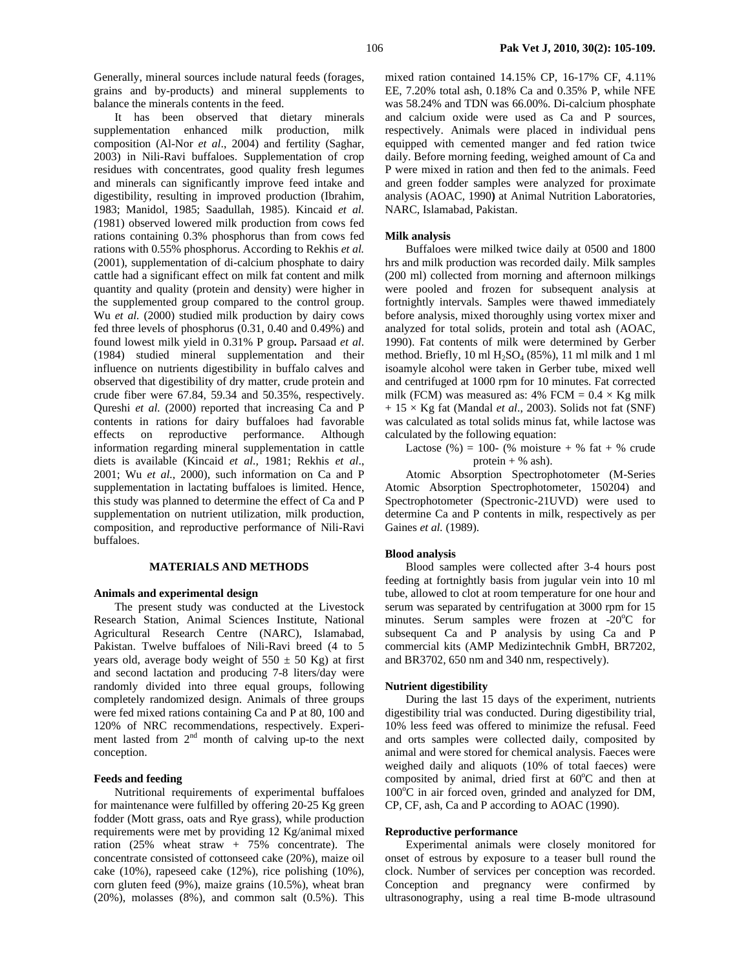Generally, mineral sources include natural feeds (forages, grains and by-products) and mineral supplements to balance the minerals contents in the feed.

It has been observed that dietary minerals supplementation enhanced milk production, milk composition (Al-Nor *et al*., 2004) and fertility (Saghar, 2003) in Nili-Ravi buffaloes. Supplementation of crop residues with concentrates, good quality fresh legumes and minerals can significantly improve feed intake and digestibility, resulting in improved production (Ibrahim, 1983; Manidol, 1985; Saadullah, 1985). Kincaid *et al. (*1981) observed lowered milk production from cows fed rations containing 0.3% phosphorus than from cows fed rations with 0.55% phosphorus. According to Rekhis *et al.*  (2001), supplementation of di-calcium phosphate to dairy cattle had a significant effect on milk fat content and milk quantity and quality (protein and density) were higher in the supplemented group compared to the control group. Wu *et al.* (2000) studied milk production by dairy cows fed three levels of phosphorus (0.31, 0.40 and 0.49%) and found lowest milk yield in 0.31% P group**.** Parsaad *et al*. (1984) studied mineral supplementation and their influence on nutrients digestibility in buffalo calves and observed that digestibility of dry matter, crude protein and crude fiber were 67.84, 59.34 and 50.35%, respectively. Qureshi *et al.* (2000) reported that increasing Ca and P contents in rations for dairy buffaloes had favorable effects on reproductive performance. Although information regarding mineral supplementation in cattle diets is available (Kincaid *et al.,* 1981; Rekhis *et al*., 2001; Wu *et al.,* 2000), such information on Ca and P supplementation in lactating buffaloes is limited. Hence, this study was planned to determine the effect of Ca and P supplementation on nutrient utilization, milk production, composition, and reproductive performance of Nili-Ravi buffaloes.

## **MATERIALS AND METHODS**

#### **Animals and experimental design**

The present study was conducted at the Livestock Research Station, Animal Sciences Institute, National Agricultural Research Centre (NARC), Islamabad, Pakistan. Twelve buffaloes of Nili-Ravi breed (4 to 5 years old, average body weight of  $550 \pm 50$  Kg) at first and second lactation and producing 7-8 liters/day were randomly divided into three equal groups, following completely randomized design. Animals of three groups were fed mixed rations containing Ca and P at 80, 100 and 120% of NRC recommendations, respectively. Experiment lasted from  $2<sup>nd</sup>$  month of calving up-to the next conception.

# **Feeds and feeding**

Nutritional requirements of experimental buffaloes for maintenance were fulfilled by offering 20-25 Kg green fodder (Mott grass, oats and Rye grass), while production requirements were met by providing 12 Kg/animal mixed ration (25% wheat straw + 75% concentrate). The concentrate consisted of cottonseed cake (20%), maize oil cake (10%), rapeseed cake (12%), rice polishing (10%), corn gluten feed (9%), maize grains (10.5%), wheat bran  $(20\%)$ , molasses  $(8\%)$ , and common salt  $(0.5\%)$ . This

mixed ration contained 14.15% CP, 16-17% CF, 4.11% EE, 7.20% total ash, 0.18% Ca and 0.35% P, while NFE was 58.24% and TDN was 66.00%. Di-calcium phosphate and calcium oxide were used as Ca and P sources, respectively. Animals were placed in individual pens equipped with cemented manger and fed ration twice daily. Before morning feeding, weighed amount of Ca and P were mixed in ration and then fed to the animals. Feed and green fodder samples were analyzed for proximate analysis (AOAC, 1990**)** at Animal Nutrition Laboratories, NARC, Islamabad, Pakistan.

#### **Milk analysis**

Buffaloes were milked twice daily at 0500 and 1800 hrs and milk production was recorded daily. Milk samples (200 ml) collected from morning and afternoon milkings were pooled and frozen for subsequent analysis at fortnightly intervals. Samples were thawed immediately before analysis, mixed thoroughly using vortex mixer and analyzed for total solids, protein and total ash (AOAC, 1990). Fat contents of milk were determined by Gerber method. Briefly, 10 ml  $H<sub>2</sub>SO<sub>4</sub>$  (85%), 11 ml milk and 1 ml isoamyle alcohol were taken in Gerber tube, mixed well and centrifuged at 1000 rpm for 10 minutes. Fat corrected milk (FCM) was measured as: 4% FCM =  $0.4 \times$  Kg milk + 15 × Kg fat (Mandal *et al*., 2003). Solids not fat (SNF) was calculated as total solids minus fat, while lactose was calculated by the following equation:

Lactose (%) = 100- (% moisture + % fat + % crude protein  $+$  % ash).

Atomic Absorption Spectrophotometer (M-Series Atomic Absorption Spectrophotometer, 150204) and Spectrophotometer (Spectronic-21UVD) were used to determine Ca and P contents in milk, respectively as per Gaines *et al.* (1989).

#### **Blood analysis**

Blood samples were collected after 3-4 hours post feeding at fortnightly basis from jugular vein into 10 ml tube, allowed to clot at room temperature for one hour and serum was separated by centrifugation at 3000 rpm for 15 minutes. Serum samples were frozen at  $-20^{\circ}$ C for subsequent Ca and P analysis by using Ca and P commercial kits (AMP Medizintechnik GmbH, BR7202, and BR3702, 650 nm and 340 nm, respectively).

#### **Nutrient digestibility**

During the last 15 days of the experiment, nutrients digestibility trial was conducted. During digestibility trial, 10% less feed was offered to minimize the refusal. Feed and orts samples were collected daily, composited by animal and were stored for chemical analysis. Faeces were weighed daily and aliquots (10% of total faeces) were composited by animal, dried first at  $60^{\circ}$ C and then at 100°C in air forced oven, grinded and analyzed for DM, CP, CF, ash, Ca and P according to AOAC (1990).

#### **Reproductive performance**

Experimental animals were closely monitored for onset of estrous by exposure to a teaser bull round the clock. Number of services per conception was recorded. Conception and pregnancy were confirmed by ultrasonography, using a real time B-mode ultrasound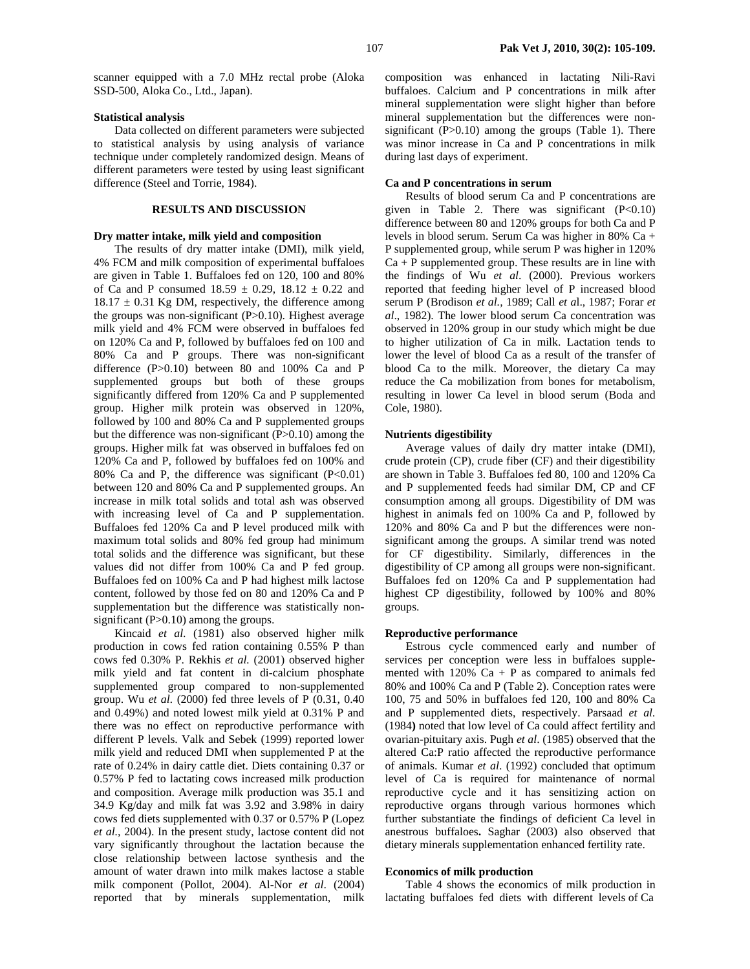scanner equipped with a 7.0 MHz rectal probe (Aloka SSD-500, Aloka Co., Ltd., Japan).

## **Statistical analysis**

Data collected on different parameters were subjected to statistical analysis by using analysis of variance technique under completely randomized design. Means of different parameters were tested by using least significant difference (Steel and Torrie, 1984).

## **RESULTS AND DISCUSSION**

## **Dry matter intake, milk yield and composition**

The results of dry matter intake (DMI), milk yield, 4% FCM and milk composition of experimental buffaloes are given in Table 1. Buffaloes fed on 120, 100 and 80% of Ca and P consumed  $18.59 \pm 0.29$ ,  $18.12 \pm 0.22$  and  $18.17 \pm 0.31$  Kg DM, respectively, the difference among the groups was non-significant (P>0.10). Highest average milk yield and 4% FCM were observed in buffaloes fed on 120% Ca and P, followed by buffaloes fed on 100 and 80% Ca and P groups. There was non-significant difference (P>0.10) between 80 and 100% Ca and P supplemented groups but both of these groups significantly differed from 120% Ca and P supplemented group. Higher milk protein was observed in 120%, followed by 100 and 80% Ca and P supplemented groups but the difference was non-significant (P>0.10) among the groups. Higher milk fat was observed in buffaloes fed on 120% Ca and P, followed by buffaloes fed on 100% and 80% Ca and P, the difference was significant  $(P<0.01)$ between 120 and 80% Ca and P supplemented groups. An increase in milk total solids and total ash was observed with increasing level of Ca and P supplementation. Buffaloes fed 120% Ca and P level produced milk with maximum total solids and 80% fed group had minimum total solids and the difference was significant, but these values did not differ from 100% Ca and P fed group. Buffaloes fed on 100% Ca and P had highest milk lactose content, followed by those fed on 80 and 120% Ca and P supplementation but the difference was statistically nonsignificant (P>0.10) among the groups.

Kincaid *et al*. (1981) also observed higher milk production in cows fed ration containing 0.55% P than cows fed 0.30% P. Rekhis *et al.* (2001) observed higher milk yield and fat content in di-calcium phosphate supplemented group compared to non-supplemented group. Wu *et al.* (2000) fed three levels of P (0.31, 0.40 and 0.49%) and noted lowest milk yield at 0.31% P and there was no effect on reproductive performance with different P levels. Valk and Sebek (1999) reported lower milk yield and reduced DMI when supplemented P at the rate of 0.24% in dairy cattle diet. Diets containing 0.37 or 0.57% P fed to lactating cows increased milk production and composition. Average milk production was 35.1 and 34.9 Kg/day and milk fat was 3.92 and 3.98% in dairy cows fed diets supplemented with 0.37 or 0.57% P (Lopez *et al.,* 2004). In the present study, lactose content did not vary significantly throughout the lactation because the close relationship between lactose synthesis and the amount of water drawn into milk makes lactose a stable milk component (Pollot, 2004). Al-Nor *et al*. (2004) reported that by minerals supplementation, milk

composition was enhanced in lactating Nili-Ravi buffaloes. Calcium and P concentrations in milk after mineral supplementation were slight higher than before mineral supplementation but the differences were nonsignificant  $(P>0.10)$  among the groups (Table 1). There was minor increase in Ca and P concentrations in milk during last days of experiment.

#### **Ca and P concentrations in serum**

Results of blood serum Ca and P concentrations are given in Table 2. There was significant  $(P<0.10)$ difference between 80 and 120% groups for both Ca and P levels in blood serum. Serum Ca was higher in 80% Ca + P supplemented group, while serum P was higher in 120%  $Ca + P$  supplemented group. These results are in line with the findings of Wu *et al*. (2000). Previous workers reported that feeding higher level of P increased blood serum P (Brodison *et al.,* 1989; Call *et a*l., 1987; Forar *et al*., 1982). The lower blood serum Ca concentration was observed in 120% group in our study which might be due to higher utilization of Ca in milk. Lactation tends to lower the level of blood Ca as a result of the transfer of blood Ca to the milk. Moreover, the dietary Ca may reduce the Ca mobilization from bones for metabolism, resulting in lower Ca level in blood serum (Boda and Cole, 1980).

#### **Nutrients digestibility**

Average values of daily dry matter intake (DMI), crude protein (CP), crude fiber (CF) and their digestibility are shown in Table 3. Buffaloes fed 80, 100 and 120% Ca and P supplemented feeds had similar DM, CP and CF consumption among all groups. Digestibility of DM was highest in animals fed on 100% Ca and P, followed by 120% and 80% Ca and P but the differences were nonsignificant among the groups. A similar trend was noted for CF digestibility. Similarly, differences in the digestibility of CP among all groups were non-significant. Buffaloes fed on 120% Ca and P supplementation had highest CP digestibility, followed by 100% and 80% groups.

## **Reproductive performance**

Estrous cycle commenced early and number of services per conception were less in buffaloes supplemented with  $120\%$  Ca + P as compared to animals fed 80% and 100% Ca and P (Table 2). Conception rates were 100, 75 and 50% in buffaloes fed 120, 100 and 80% Ca and P supplemented diets, respectively. Parsaad *et al.* (1984**)** noted that low level of Ca could affect fertility and ovarian-pituitary axis. Pugh *et al*. (1985) observed that the altered Ca:P ratio affected the reproductive performance of animals. Kumar *et al*. (1992) concluded that optimum level of Ca is required for maintenance of normal reproductive cycle and it has sensitizing action on reproductive organs through various hormones which further substantiate the findings of deficient Ca level in anestrous buffaloes**.** Saghar (2003) also observed that dietary minerals supplementation enhanced fertility rate.

#### **Economics of milk production**

Table 4 shows the economics of milk production in lactating buffaloes fed diets with different levels of Ca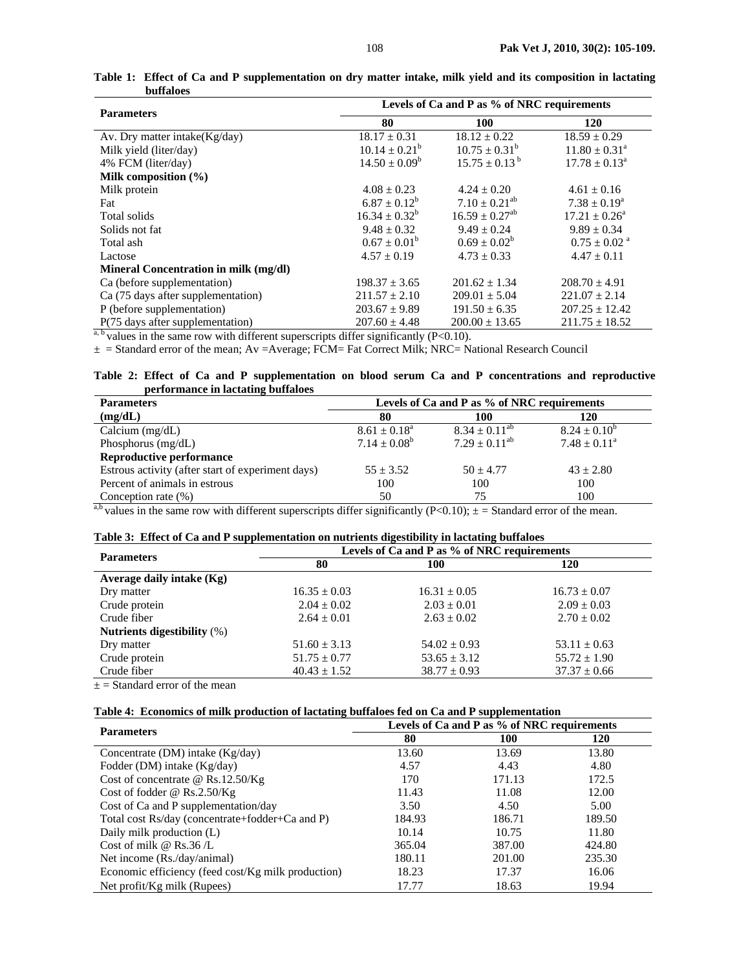| <b>Parameters</b>                     | Levels of Ca and P as % of NRC requirements |                                |                              |  |
|---------------------------------------|---------------------------------------------|--------------------------------|------------------------------|--|
|                                       | 80                                          | <b>100</b>                     | <b>120</b>                   |  |
| Av. Dry matter intake $(Kg/day)$      | $18.17 \pm 0.31$                            | $18.12 \pm 0.22$               | $18.59 \pm 0.29$             |  |
| Milk yield (liter/day)                | $10.14 \pm 0.21^b$                          | $10.75 \pm 0.31^b$             | $11.80 \pm 0.31^{\circ}$     |  |
| 4% FCM (liter/day)                    | $14.50 \pm 0.09^b$                          | $15.75 \pm 0.13^{\mathrm{b}}$  | $17.78 \pm 0.13^{\circ}$     |  |
| Milk composition $(\% )$              |                                             |                                |                              |  |
| Milk protein                          | $4.08 \pm 0.23$                             | $4.24 \pm 0.20$                | $4.61 \pm 0.16$              |  |
| Fat                                   | $6.87 \pm 0.12^b$                           | $7.10 \pm 0.21^{ab}$           | $7.38 \pm 0.19^a$            |  |
| Total solids                          | $16.34 \pm 0.32^b$                          | $16.59 \pm 0.27$ <sup>ab</sup> | $17.21 \pm 0.26^{\circ}$     |  |
| Solids not fat                        | $9.48 \pm 0.32$                             | $9.49 \pm 0.24$                | $9.89 \pm 0.34$              |  |
| Total ash                             | $0.67 \pm 0.01^{\rm b}$                     | $0.69 \pm 0.02^b$              | $0.75 \pm 0.02$ <sup>a</sup> |  |
| Lactose                               | $4.57 \pm 0.19$                             | $4.73 \pm 0.33$                | $4.47 \pm 0.11$              |  |
| Mineral Concentration in milk (mg/dl) |                                             |                                |                              |  |
| Ca (before supplementation)           | $198.37 \pm 3.65$                           | $201.62 \pm 1.34$              | $208.70 \pm 4.91$            |  |
| Ca (75 days after supplementation)    | $211.57 \pm 2.10$                           | $209.01 \pm 5.04$              | $221.07 \pm 2.14$            |  |
| P (before supplementation)            | $203.67 \pm 9.89$                           | $191.50 \pm 6.35$              | $207.25 \pm 12.42$           |  |
| P(75 days after supplementation)      | $207.60 \pm 4.48$                           | $200.00 \pm 13.65$             | $211.75 \pm 18.52$           |  |

**Table 1: Effect of Ca and P supplementation on dry matter intake, milk yield and its composition in lactating buffaloes** 

 $a, b$  values in the same row with different superscripts differ significantly (P<0.10).

± = Standard error of the mean; Av =Average; FCM= Fat Correct Milk; NRC= National Research Council

**Table 2: Effect of Ca and P supplementation on blood serum Ca and P concentrations and reproductive performance in lactating buffaloes** 

| <b>Parameters</b>                                 | Levels of Ca and P as % of NRC requirements |                      |                   |  |
|---------------------------------------------------|---------------------------------------------|----------------------|-------------------|--|
| (mg/dL)                                           | 80                                          | 100                  | 120               |  |
| Calcium $(mg/dL)$                                 | $8.61 \pm 0.18^{\text{a}}$                  | $8.34 \pm 0.11^{ab}$ | $8.24 \pm 0.10^6$ |  |
| Phosphorus $(mg/dL)$                              | $7.14 \pm 0.08^b$                           | $7.29 \pm 0.11^{ab}$ | $7.48 \pm 0.11^a$ |  |
| <b>Reproductive performance</b>                   |                                             |                      |                   |  |
| Estrous activity (after start of experiment days) | $55 \pm 3.52$                               | $50 + 4.77$          | $43 + 2.80$       |  |
| Percent of animals in estrous                     | 100                                         | 100                  | 100               |  |
| Conception rate $(\%)$<br>$-1$                    | 50                                          | 75                   | 100               |  |

<sup>a,b</sup> values in the same row with different superscripts differ significantly (P<0.10);  $\pm$  = Standard error of the mean.

#### **Table 3: Effect of Ca and P supplementation on nutrients digestibility in lactating buffaloes**

| <b>Parameters</b>           | Levels of Ca and P as % of NRC requirements |                  |                  |  |
|-----------------------------|---------------------------------------------|------------------|------------------|--|
|                             | 80                                          | 100              | 120              |  |
| Average daily intake (Kg)   |                                             |                  |                  |  |
| Dry matter                  | $16.35 \pm 0.03$                            | $16.31 \pm 0.05$ | $16.73 \pm 0.07$ |  |
| Crude protein               | $2.04 \pm 0.02$                             | $2.03 \pm 0.01$  | $2.09 \pm 0.03$  |  |
| Crude fiber                 | $2.64 \pm 0.01$                             | $2.63 \pm 0.02$  | $2.70 \pm 0.02$  |  |
| Nutrients digestibility (%) |                                             |                  |                  |  |
| Dry matter                  | $51.60 \pm 3.13$                            | $54.02 \pm 0.93$ | $53.11 \pm 0.63$ |  |
| Crude protein               | $51.75 \pm 0.77$                            | $53.65 \pm 3.12$ | $55.72 \pm 1.90$ |  |
| Crude fiber                 | $40.43 \pm 1.52$                            | $38.77 \pm 0.93$ | $37.37 \pm 0.66$ |  |

 $\pm$  = Standard error of the mean

## **Table 4: Economics of milk production of lactating buffaloes fed on Ca and P supplementation**

| <b>Parameters</b>                                  | Levels of Ca and P as % of NRC requirements |        |            |  |
|----------------------------------------------------|---------------------------------------------|--------|------------|--|
|                                                    | 80                                          | 100    | <b>120</b> |  |
| Concentrate (DM) intake $(Kg/day)$                 | 13.60                                       | 13.69  | 13.80      |  |
| Fodder (DM) intake $(Kg/day)$                      | 4.57                                        | 4.43   | 4.80       |  |
| Cost of concentrate $@$ Rs.12.50/Kg                | 170                                         | 171.13 | 172.5      |  |
| Cost of fodder @ Rs.2.50/Kg                        | 11.43                                       | 11.08  | 12.00      |  |
| Cost of Ca and P supplementation/day               | 3.50                                        | 4.50   | 5.00       |  |
| Total cost Rs/day (concentrate+fodder+Ca and P)    | 184.93                                      | 186.71 | 189.50     |  |
| Daily milk production (L)                          | 10.14                                       | 10.75  | 11.80      |  |
| Cost of milk @ $\text{Rs.36}/\text{L}$             | 365.04                                      | 387.00 | 424.80     |  |
| Net income (Rs./day/animal)                        | 180.11                                      | 201.00 | 235.30     |  |
| Economic efficiency (feed cost/Kg milk production) | 18.23                                       | 17.37  | 16.06      |  |
| Net profit/Kg milk (Rupees)                        | 17.77                                       | 18.63  | 19.94      |  |